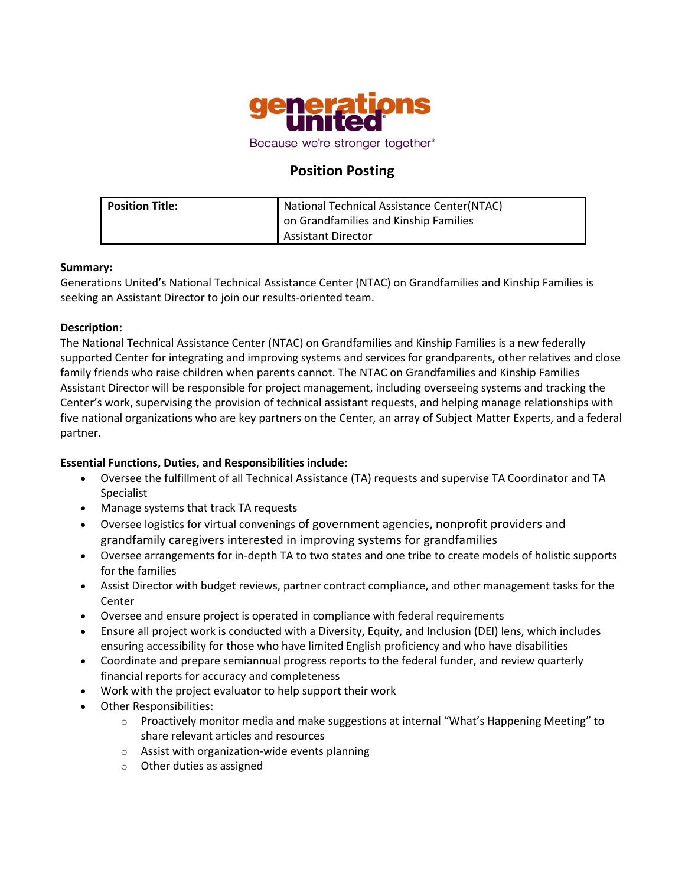

# **Position Posting**

| l Position Title: | National Technical Assistance Center(NTAC) |
|-------------------|--------------------------------------------|
|                   | on Grandfamilies and Kinship Families      |
|                   | <b>Assistant Director</b>                  |

## **Summary:**

Generations United's National Technical Assistance Center (NTAC) on Grandfamilies and Kinship Families is seeking an Assistant Director to join our results-oriented team.

## **Description:**

The National Technical Assistance Center (NTAC) on Grandfamilies and Kinship Families is a new federally supported Center for integrating and improving systems and services for grandparents, other relatives and close family friends who raise children when parents cannot. The NTAC on Grandfamilies and Kinship Families Assistant Director will be responsible for project management, including overseeing systems and tracking the Center's work, supervising the provision of technical assistant requests, and helping manage relationships with five national organizations who are key partners on the Center, an array of Subject Matter Experts, and a federal partner.

# **Essential Functions, Duties, and Responsibilities include:**

- Oversee the fulfillment of all Technical Assistance (TA) requests and supervise TA Coordinator and TA Specialist
- Manage systems that track TA requests
- Oversee logistics for virtual convenings of government agencies, nonprofit providers and grandfamily caregivers interested in improving systems for grandfamilies
- Oversee arrangements for in-depth TA to two states and one tribe to create models of holistic supports for the families
- Assist Director with budget reviews, partner contract compliance, and other management tasks for the Center
- Oversee and ensure project is operated in compliance with federal requirements
- Ensure all project work is conducted with a Diversity, Equity, and Inclusion (DEI) lens, which includes ensuring accessibility for those who have limited English proficiency and who have disabilities
- Coordinate and prepare semiannual progress reports to the federal funder, and review quarterly financial reports for accuracy and completeness
- Work with the project evaluator to help support their work
- Other Responsibilities:
	- o Proactively monitor media and make suggestions at internal "What's Happening Meeting" to share relevant articles and resources
	- o Assist with organization-wide events planning
	- o Other duties as assigned